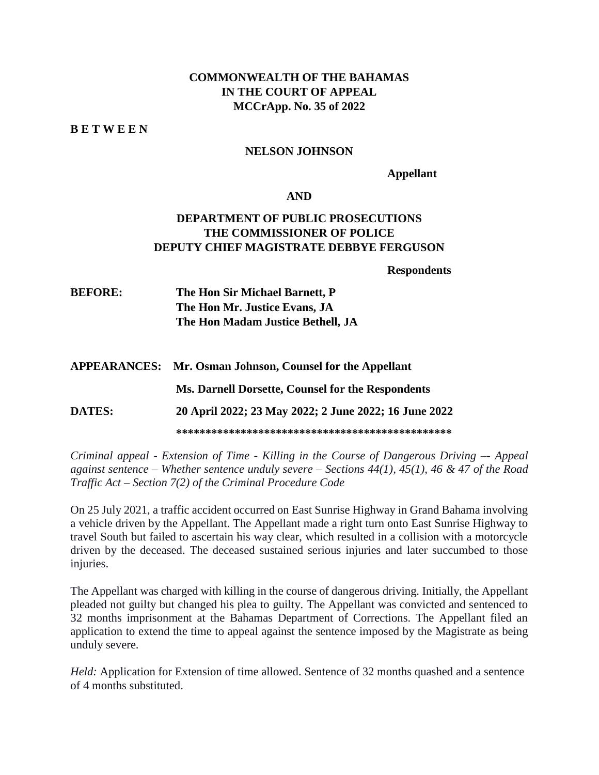## **COMMONWEALTH OF THE BAHAMAS IN THE COURT OF APPEAL MCCrApp. No. 35 of 2022**

**B E T W E E N**

#### **NELSON JOHNSON**

**Appellant**

#### **AND**

## **DEPARTMENT OF PUBLIC PROSECUTIONS THE COMMISSIONER OF POLICE DEPUTY CHIEF MAGISTRATE DEBBYE FERGUSON**

**Respondents**

**BEFORE: The Hon Sir Michael Barnett, P The Hon Mr. Justice Evans, JA The Hon Madam Justice Bethell, JA**

**APPEARANCES: Mr. Osman Johnson, Counsel for the Appellant Ms. Darnell Dorsette, Counsel for the Respondents**

**DATES: 20 April 2022; 23 May 2022; 2 June 2022; 16 June 2022**

**\*\*\*\*\*\*\*\*\*\*\*\*\*\*\*\*\*\*\*\*\*\*\*\*\*\*\*\*\*\*\*\*\*\*\*\*\*\*\*\*\*\*\*\*\*\*\***

*Criminal appeal - Extension of Time - Killing in the Course of Dangerous Driving –- Appeal against sentence – Whether sentence unduly severe – Sections 44(1), 45(1), 46 & 47 of the Road Traffic Act – Section 7(2) of the Criminal Procedure Code*

On 25 July 2021, a traffic accident occurred on East Sunrise Highway in Grand Bahama involving a vehicle driven by the Appellant. The Appellant made a right turn onto East Sunrise Highway to travel South but failed to ascertain his way clear, which resulted in a collision with a motorcycle driven by the deceased. The deceased sustained serious injuries and later succumbed to those injuries.

The Appellant was charged with killing in the course of dangerous driving. Initially, the Appellant pleaded not guilty but changed his plea to guilty. The Appellant was convicted and sentenced to 32 months imprisonment at the Bahamas Department of Corrections. The Appellant filed an application to extend the time to appeal against the sentence imposed by the Magistrate as being unduly severe.

*Held:* Application for Extension of time allowed. Sentence of 32 months quashed and a sentence of 4 months substituted.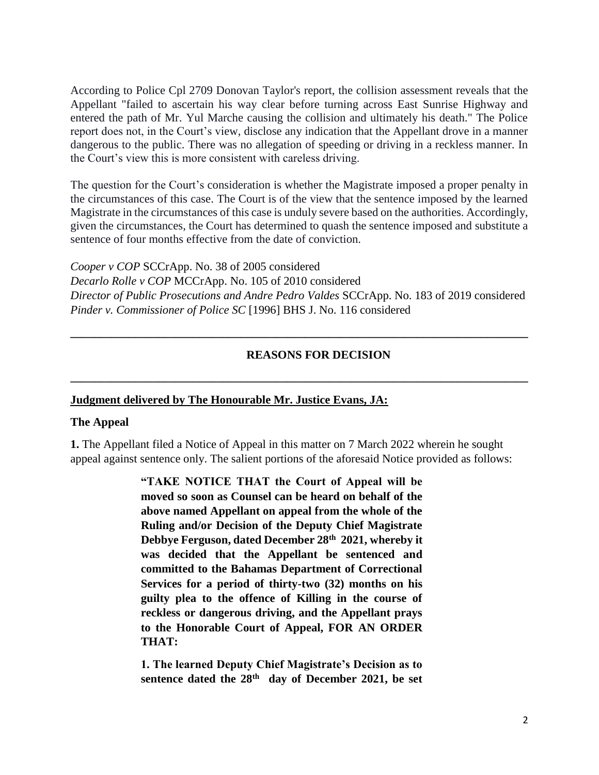According to Police Cpl 2709 Donovan Taylor's report, the collision assessment reveals that the Appellant "failed to ascertain his way clear before turning across East Sunrise Highway and entered the path of Mr. Yul Marche causing the collision and ultimately his death." The Police report does not, in the Court's view, disclose any indication that the Appellant drove in a manner dangerous to the public. There was no allegation of speeding or driving in a reckless manner. In the Court's view this is more consistent with careless driving.

The question for the Court's consideration is whether the Magistrate imposed a proper penalty in the circumstances of this case. The Court is of the view that the sentence imposed by the learned Magistrate in the circumstances of this case is unduly severe based on the authorities. Accordingly, given the circumstances, the Court has determined to quash the sentence imposed and substitute a sentence of four months effective from the date of conviction.

*Cooper v COP* SCCrApp. No. 38 of 2005 considered *Decarlo Rolle v COP* MCCrApp. No. 105 of 2010 considered *Director of Public Prosecutions and Andre Pedro Valdes* SCCrApp. No. 183 of 2019 considered *Pinder v. Commissioner of Police SC* [1996] BHS J. No. 116 considered

**\_\_\_\_\_\_\_\_\_\_\_\_\_\_\_\_\_\_\_\_\_\_\_\_\_\_\_\_\_\_\_\_\_\_\_\_\_\_\_\_\_\_\_\_\_\_\_\_\_\_\_\_\_\_\_\_\_\_\_\_\_\_\_\_\_\_\_\_\_\_\_\_\_\_\_\_\_\_**

**\_\_\_\_\_\_\_\_\_\_\_\_\_\_\_\_\_\_\_\_\_\_\_\_\_\_\_\_\_\_\_\_\_\_\_\_\_\_\_\_\_\_\_\_\_\_\_\_\_\_\_\_\_\_\_\_\_\_\_\_\_\_\_\_\_\_\_\_\_\_\_\_\_\_\_\_\_\_**

#### **REASONS FOR DECISION**

#### **Judgment delivered by The Honourable Mr. Justice Evans, JA:**

#### **The Appeal**

**1.** The Appellant filed a Notice of Appeal in this matter on 7 March 2022 wherein he sought appeal against sentence only. The salient portions of the aforesaid Notice provided as follows:

> **"TAKE NOTICE THAT the Court of Appeal will be moved so soon as Counsel can be heard on behalf of the above named Appellant on appeal from the whole of the Ruling and/or Decision of the Deputy Chief Magistrate Debbye Ferguson, dated December 28th 2021, whereby it was decided that the Appellant be sentenced and committed to the Bahamas Department of Correctional Services for a period of thirty-two (32) months on his guilty plea to the offence of Killing in the course of reckless or dangerous driving, and the Appellant prays to the Honorable Court of Appeal, FOR AN ORDER THAT:**

> **1. The learned Deputy Chief Magistrate's Decision as to sentence dated the 28th day of December 2021, be set**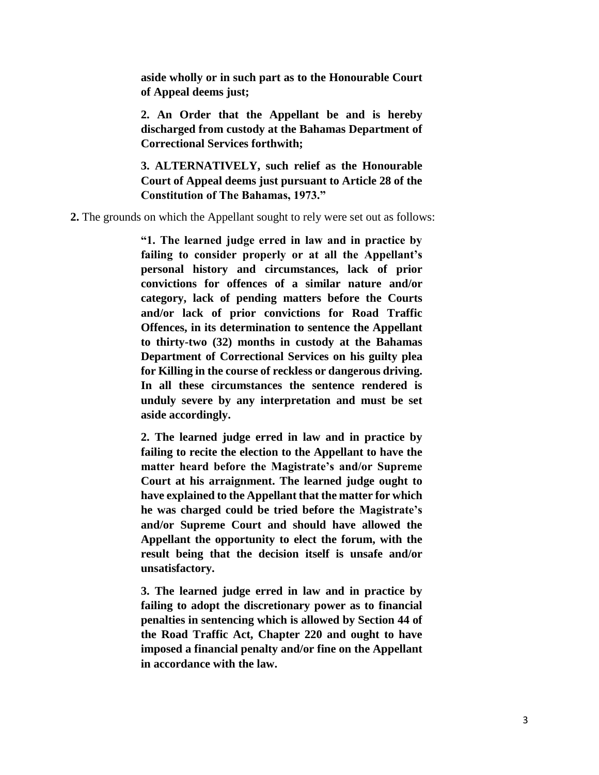**aside wholly or in such part as to the Honourable Court of Appeal deems just;**

**2. An Order that the Appellant be and is hereby discharged from custody at the Bahamas Department of Correctional Services forthwith;**

**3. ALTERNATIVELY, such relief as the Honourable Court of Appeal deems just pursuant to Article 28 of the Constitution of The Bahamas, 1973."**

**2.** The grounds on which the Appellant sought to rely were set out as follows:

**"1. The learned judge erred in law and in practice by failing to consider properly or at all the Appellant's personal history and circumstances, lack of prior convictions for offences of a similar nature and/or category, lack of pending matters before the Courts and/or lack of prior convictions for Road Traffic Offences, in its determination to sentence the Appellant to thirty-two (32) months in custody at the Bahamas Department of Correctional Services on his guilty plea for Killing in the course of reckless or dangerous driving. In all these circumstances the sentence rendered is unduly severe by any interpretation and must be set aside accordingly.**

**2. The learned judge erred in law and in practice by failing to recite the election to the Appellant to have the matter heard before the Magistrate's and/or Supreme Court at his arraignment. The learned judge ought to have explained to the Appellant that the matter for which he was charged could be tried before the Magistrate's and/or Supreme Court and should have allowed the Appellant the opportunity to elect the forum, with the result being that the decision itself is unsafe and/or unsatisfactory.**

**3. The learned judge erred in law and in practice by failing to adopt the discretionary power as to financial penalties in sentencing which is allowed by Section 44 of the Road Traffic Act, Chapter 220 and ought to have imposed a financial penalty and/or fine on the Appellant in accordance with the law.**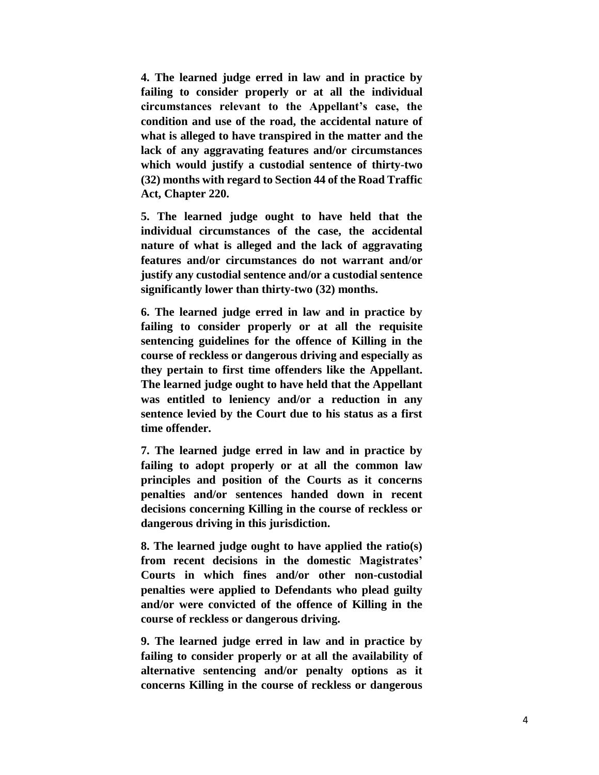**4. The learned judge erred in law and in practice by failing to consider properly or at all the individual circumstances relevant to the Appellant's case, the condition and use of the road, the accidental nature of what is alleged to have transpired in the matter and the lack of any aggravating features and/or circumstances which would justify a custodial sentence of thirty-two (32) months with regard to Section 44 of the Road Traffic Act, Chapter 220.**

**5. The learned judge ought to have held that the individual circumstances of the case, the accidental nature of what is alleged and the lack of aggravating features and/or circumstances do not warrant and/or justify any custodial sentence and/or a custodial sentence significantly lower than thirty-two (32) months.**

**6. The learned judge erred in law and in practice by failing to consider properly or at all the requisite sentencing guidelines for the offence of Killing in the course of reckless or dangerous driving and especially as they pertain to first time offenders like the Appellant. The learned judge ought to have held that the Appellant was entitled to leniency and/or a reduction in any sentence levied by the Court due to his status as a first time offender.**

**7. The learned judge erred in law and in practice by failing to adopt properly or at all the common law principles and position of the Courts as it concerns penalties and/or sentences handed down in recent decisions concerning Killing in the course of reckless or dangerous driving in this jurisdiction.**

**8. The learned judge ought to have applied the ratio(s) from recent decisions in the domestic Magistrates' Courts in which fines and/or other non-custodial penalties were applied to Defendants who plead guilty and/or were convicted of the offence of Killing in the course of reckless or dangerous driving.**

**9. The learned judge erred in law and in practice by failing to consider properly or at all the availability of alternative sentencing and/or penalty options as it concerns Killing in the course of reckless or dangerous**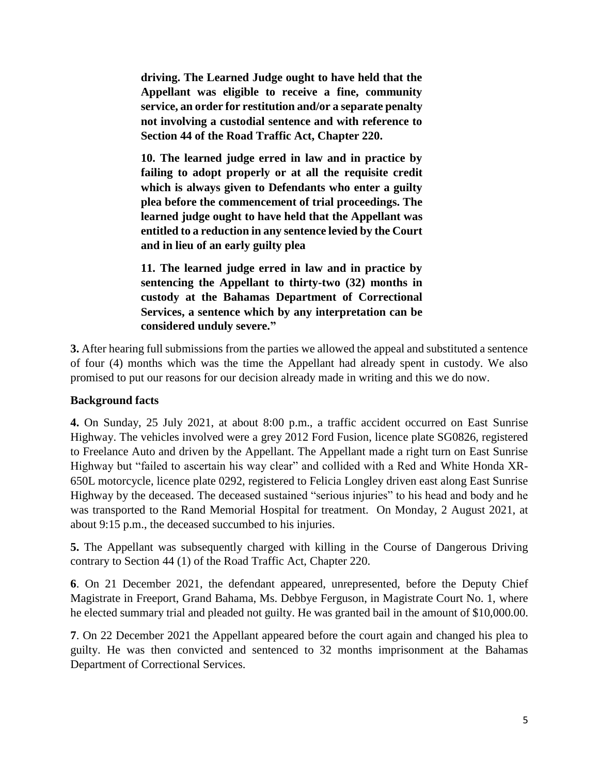**driving. The Learned Judge ought to have held that the Appellant was eligible to receive a fine, community service, an order for restitution and/or a separate penalty not involving a custodial sentence and with reference to Section 44 of the Road Traffic Act, Chapter 220.**

**10. The learned judge erred in law and in practice by failing to adopt properly or at all the requisite credit which is always given to Defendants who enter a guilty plea before the commencement of trial proceedings. The learned judge ought to have held that the Appellant was entitled to a reduction in any sentence levied by the Court and in lieu of an early guilty plea**

**11. The learned judge erred in law and in practice by sentencing the Appellant to thirty-two (32) months in custody at the Bahamas Department of Correctional Services, a sentence which by any interpretation can be considered unduly severe."**

**3.** After hearing full submissions from the parties we allowed the appeal and substituted a sentence of four (4) months which was the time the Appellant had already spent in custody. We also promised to put our reasons for our decision already made in writing and this we do now.

## **Background facts**

**4.** On Sunday, 25 July 2021, at about 8:00 p.m., a traffic accident occurred on East Sunrise Highway. The vehicles involved were a grey 2012 Ford Fusion, licence plate SG0826, registered to Freelance Auto and driven by the Appellant. The Appellant made a right turn on East Sunrise Highway but "failed to ascertain his way clear" and collided with a Red and White Honda XR-650L motorcycle, licence plate 0292, registered to Felicia Longley driven east along East Sunrise Highway by the deceased. The deceased sustained "serious injuries" to his head and body and he was transported to the Rand Memorial Hospital for treatment. On Monday, 2 August 2021, at about 9:15 p.m., the deceased succumbed to his injuries.

**5.** The Appellant was subsequently charged with killing in the Course of Dangerous Driving contrary to Section 44 (1) of the Road Traffic Act, Chapter 220.

**6**. On 21 December 2021, the defendant appeared, unrepresented, before the Deputy Chief Magistrate in Freeport, Grand Bahama, Ms. Debbye Ferguson, in Magistrate Court No. 1, where he elected summary trial and pleaded not guilty. He was granted bail in the amount of \$10,000.00.

**7**. On 22 December 2021 the Appellant appeared before the court again and changed his plea to guilty. He was then convicted and sentenced to 32 months imprisonment at the Bahamas Department of Correctional Services.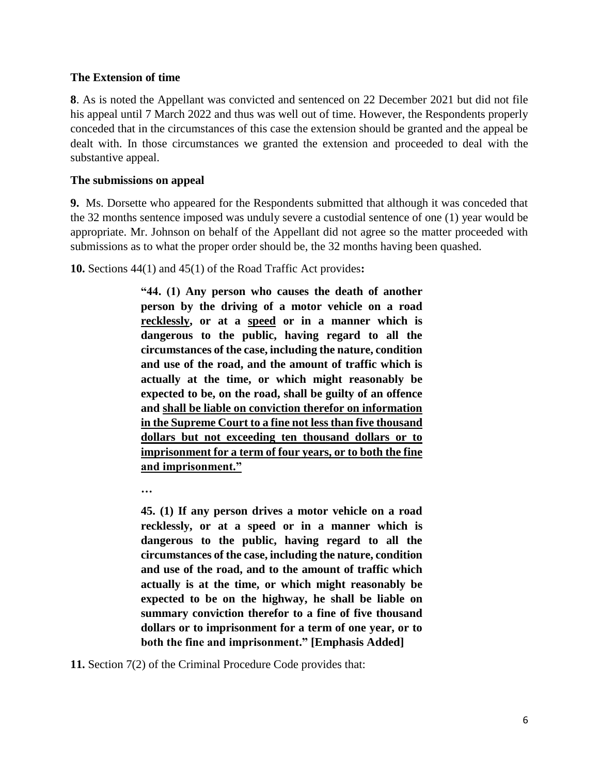#### **The Extension of time**

**8**. As is noted the Appellant was convicted and sentenced on 22 December 2021 but did not file his appeal until 7 March 2022 and thus was well out of time. However, the Respondents properly conceded that in the circumstances of this case the extension should be granted and the appeal be dealt with. In those circumstances we granted the extension and proceeded to deal with the substantive appeal.

### **The submissions on appeal**

**9.** Ms. Dorsette who appeared for the Respondents submitted that although it was conceded that the 32 months sentence imposed was unduly severe a custodial sentence of one (1) year would be appropriate. Mr. Johnson on behalf of the Appellant did not agree so the matter proceeded with submissions as to what the proper order should be, the 32 months having been quashed.

**10.** Sections 44(1) and 45(1) of the Road Traffic Act provides**:** 

**"44. (1) Any person who causes the death of another person by the driving of a motor vehicle on a road recklessly, or at a speed or in a manner which is dangerous to the public, having regard to all the circumstances of the case, including the nature, condition and use of the road, and the amount of traffic which is actually at the time, or which might reasonably be expected to be, on the road, shall be guilty of an offence and shall be liable on conviction therefor on information in the Supreme Court to a fine not less than five thousand dollars but not exceeding ten thousand dollars or to imprisonment for a term of four years, or to both the fine and imprisonment."**

**…**

**45. (1) If any person drives a motor vehicle on a road recklessly, or at a speed or in a manner which is dangerous to the public, having regard to all the circumstances of the case, including the nature, condition and use of the road, and to the amount of traffic which actually is at the time, or which might reasonably be expected to be on the highway, he shall be liable on summary conviction therefor to a fine of five thousand dollars or to imprisonment for a term of one year, or to both the fine and imprisonment." [Emphasis Added]**

**11.** Section 7(2) of the Criminal Procedure Code provides that: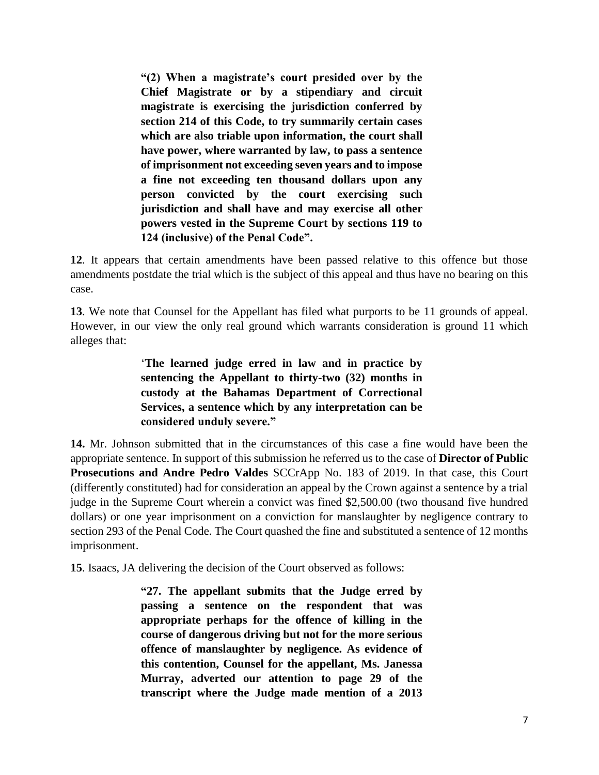**"(2) When a magistrate's court presided over by the Chief Magistrate or by a stipendiary and circuit magistrate is exercising the jurisdiction conferred by section 214 of this Code, to try summarily certain cases which are also triable upon information, the court shall have power, where warranted by law, to pass a sentence of imprisonment not exceeding seven years and to impose a fine not exceeding ten thousand dollars upon any person convicted by the court exercising such jurisdiction and shall have and may exercise all other powers vested in the Supreme Court by sections 119 to 124 (inclusive) of the Penal Code".**

**12**. It appears that certain amendments have been passed relative to this offence but those amendments postdate the trial which is the subject of this appeal and thus have no bearing on this case.

**13**. We note that Counsel for the Appellant has filed what purports to be 11 grounds of appeal. However, in our view the only real ground which warrants consideration is ground 11 which alleges that:

> '**The learned judge erred in law and in practice by sentencing the Appellant to thirty-two (32) months in custody at the Bahamas Department of Correctional Services, a sentence which by any interpretation can be considered unduly severe."**

**14.** Mr. Johnson submitted that in the circumstances of this case a fine would have been the appropriate sentence. In support of this submission he referred us to the case of **Director of Public Prosecutions and Andre Pedro Valdes** SCCrApp No. 183 of 2019. In that case, this Court (differently constituted) had for consideration an appeal by the Crown against a sentence by a trial judge in the Supreme Court wherein a convict was fined \$2,500.00 (two thousand five hundred dollars) or one year imprisonment on a conviction for manslaughter by negligence contrary to section 293 of the Penal Code. The Court quashed the fine and substituted a sentence of 12 months imprisonment.

**15**. Isaacs, JA delivering the decision of the Court observed as follows:

**"27. The appellant submits that the Judge erred by passing a sentence on the respondent that was appropriate perhaps for the offence of killing in the course of dangerous driving but not for the more serious offence of manslaughter by negligence. As evidence of this contention, Counsel for the appellant, Ms. Janessa Murray, adverted our attention to page 29 of the transcript where the Judge made mention of a 2013**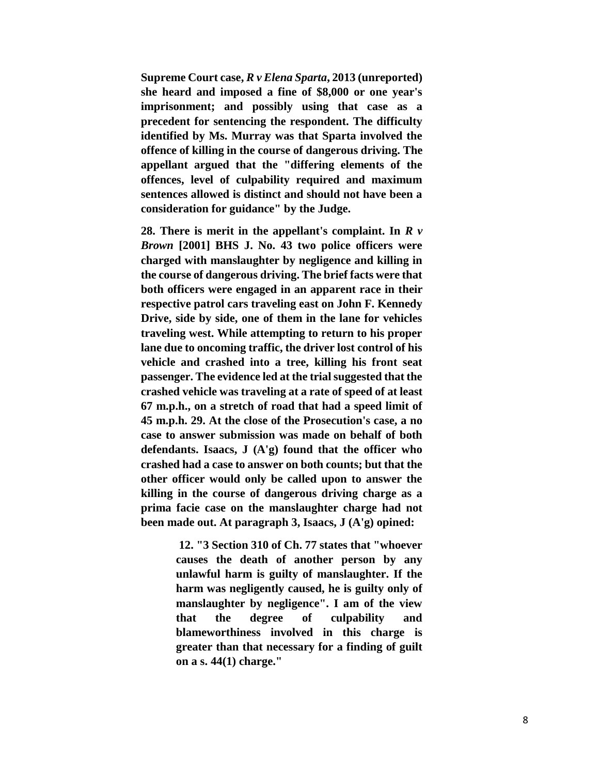**Supreme Court case,** *R v Elena Sparta***, 2013 (unreported) she heard and imposed a fine of \$8,000 or one year's imprisonment; and possibly using that case as a precedent for sentencing the respondent. The difficulty identified by Ms. Murray was that Sparta involved the offence of killing in the course of dangerous driving. The appellant argued that the "differing elements of the offences, level of culpability required and maximum sentences allowed is distinct and should not have been a consideration for guidance" by the Judge.** 

**28. There is merit in the appellant's complaint. In** *R v Brown* **[2001] BHS J. No. 43 two police officers were charged with manslaughter by negligence and killing in the course of dangerous driving. The brief facts were that both officers were engaged in an apparent race in their respective patrol cars traveling east on John F. Kennedy Drive, side by side, one of them in the lane for vehicles traveling west. While attempting to return to his proper lane due to oncoming traffic, the driver lost control of his vehicle and crashed into a tree, killing his front seat passenger. The evidence led at the trial suggested that the crashed vehicle was traveling at a rate of speed of at least 67 m.p.h., on a stretch of road that had a speed limit of 45 m.p.h. 29. At the close of the Prosecution's case, a no case to answer submission was made on behalf of both defendants. Isaacs, J (A'g) found that the officer who crashed had a case to answer on both counts; but that the other officer would only be called upon to answer the killing in the course of dangerous driving charge as a prima facie case on the manslaughter charge had not been made out. At paragraph 3, Isaacs, J (A'g) opined:**

> **12. "3 Section 310 of Ch. 77 states that "whoever causes the death of another person by any unlawful harm is guilty of manslaughter. If the harm was negligently caused, he is guilty only of manslaughter by negligence". I am of the view that the degree of culpability and blameworthiness involved in this charge is greater than that necessary for a finding of guilt on a s. 44(1) charge."**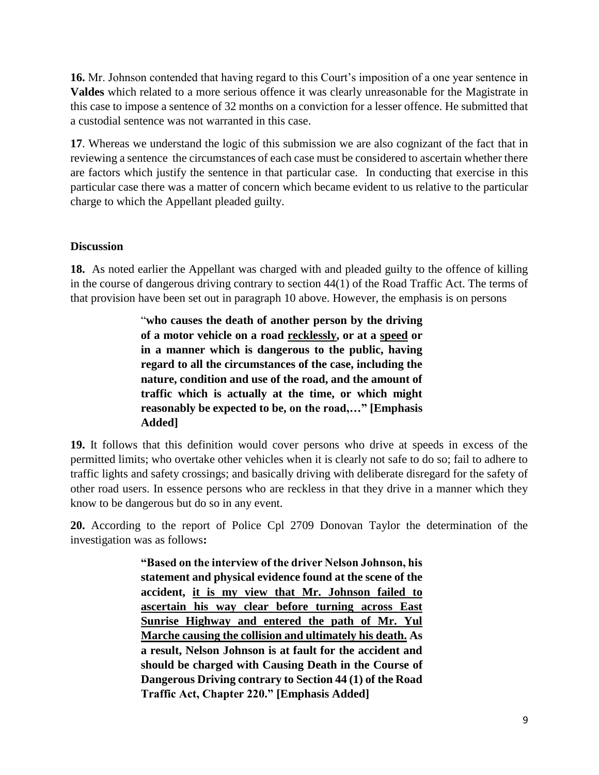**16.** Mr. Johnson contended that having regard to this Court's imposition of a one year sentence in **Valdes** which related to a more serious offence it was clearly unreasonable for the Magistrate in this case to impose a sentence of 32 months on a conviction for a lesser offence. He submitted that a custodial sentence was not warranted in this case.

**17**. Whereas we understand the logic of this submission we are also cognizant of the fact that in reviewing a sentence the circumstances of each case must be considered to ascertain whether there are factors which justify the sentence in that particular case. In conducting that exercise in this particular case there was a matter of concern which became evident to us relative to the particular charge to which the Appellant pleaded guilty.

## **Discussion**

**18.** As noted earlier the Appellant was charged with and pleaded guilty to the offence of killing in the course of dangerous driving contrary to section 44(1) of the Road Traffic Act. The terms of that provision have been set out in paragraph 10 above. However, the emphasis is on persons

> "**who causes the death of another person by the driving of a motor vehicle on a road recklessly, or at a speed or in a manner which is dangerous to the public, having regard to all the circumstances of the case, including the nature, condition and use of the road, and the amount of traffic which is actually at the time, or which might reasonably be expected to be, on the road,…" [Emphasis Added]**

**19.** It follows that this definition would cover persons who drive at speeds in excess of the permitted limits; who overtake other vehicles when it is clearly not safe to do so; fail to adhere to traffic lights and safety crossings; and basically driving with deliberate disregard for the safety of other road users. In essence persons who are reckless in that they drive in a manner which they know to be dangerous but do so in any event.

**20.** According to the report of Police Cpl 2709 Donovan Taylor the determination of the investigation was as follows**:**

> **"Based on the interview of the driver Nelson Johnson, his statement and physical evidence found at the scene of the accident, it is my view that Mr. Johnson failed to ascertain his way clear before turning across East Sunrise Highway and entered the path of Mr. Yul Marche causing the collision and ultimately his death. As a result, Nelson Johnson is at fault for the accident and should be charged with Causing Death in the Course of Dangerous Driving contrary to Section 44 (1) of the Road Traffic Act, Chapter 220." [Emphasis Added]**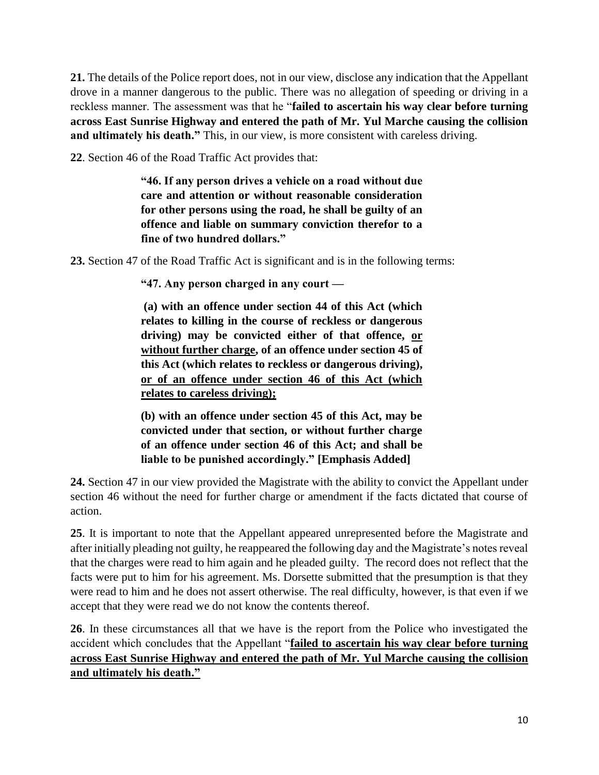**21.** The details of the Police report does, not in our view, disclose any indication that the Appellant drove in a manner dangerous to the public. There was no allegation of speeding or driving in a reckless manner. The assessment was that he "**failed to ascertain his way clear before turning across East Sunrise Highway and entered the path of Mr. Yul Marche causing the collision**  and ultimately his death." This, in our view, is more consistent with careless driving.

**22**. Section 46 of the Road Traffic Act provides that:

**"46. If any person drives a vehicle on a road without due care and attention or without reasonable consideration for other persons using the road, he shall be guilty of an offence and liable on summary conviction therefor to a fine of two hundred dollars."**

**23.** Section 47 of the Road Traffic Act is significant and is in the following terms:

**"47. Any person charged in any court —**

**(a) with an offence under section 44 of this Act (which relates to killing in the course of reckless or dangerous driving) may be convicted either of that offence, or without further charge, of an offence under section 45 of this Act (which relates to reckless or dangerous driving), or of an offence under section 46 of this Act (which relates to careless driving);**

**(b) with an offence under section 45 of this Act, may be convicted under that section, or without further charge of an offence under section 46 of this Act; and shall be liable to be punished accordingly." [Emphasis Added]**

**24.** Section 47 in our view provided the Magistrate with the ability to convict the Appellant under section 46 without the need for further charge or amendment if the facts dictated that course of action.

**25**. It is important to note that the Appellant appeared unrepresented before the Magistrate and after initially pleading not guilty, he reappeared the following day and the Magistrate's notes reveal that the charges were read to him again and he pleaded guilty. The record does not reflect that the facts were put to him for his agreement. Ms. Dorsette submitted that the presumption is that they were read to him and he does not assert otherwise. The real difficulty, however, is that even if we accept that they were read we do not know the contents thereof.

**26**. In these circumstances all that we have is the report from the Police who investigated the accident which concludes that the Appellant "**failed to ascertain his way clear before turning across East Sunrise Highway and entered the path of Mr. Yul Marche causing the collision and ultimately his death."**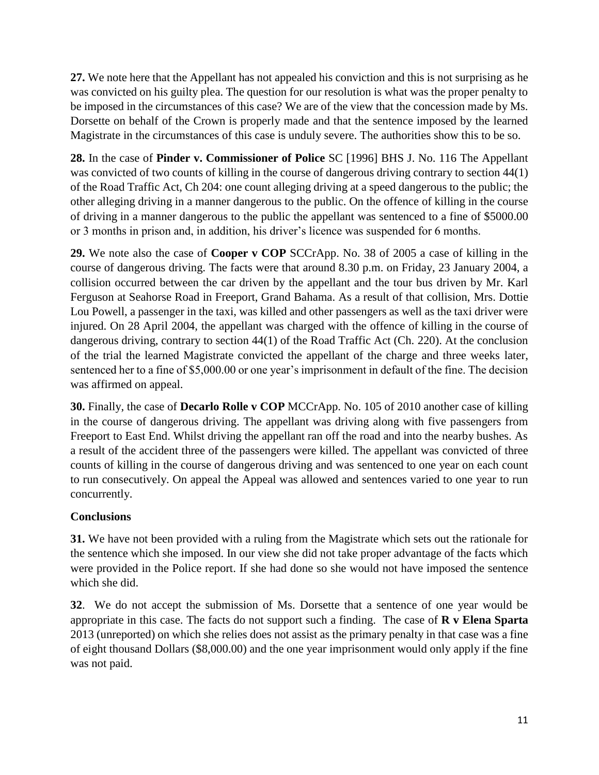**27.** We note here that the Appellant has not appealed his conviction and this is not surprising as he was convicted on his guilty plea. The question for our resolution is what was the proper penalty to be imposed in the circumstances of this case? We are of the view that the concession made by Ms. Dorsette on behalf of the Crown is properly made and that the sentence imposed by the learned Magistrate in the circumstances of this case is unduly severe. The authorities show this to be so.

**28.** In the case of **Pinder v. Commissioner of Police** SC [1996] BHS J. No. 116 The Appellant was convicted of two counts of killing in the course of dangerous driving contrary to section 44(1) of the Road Traffic Act, Ch 204: one count alleging driving at a speed dangerous to the public; the other alleging driving in a manner dangerous to the public. On the offence of killing in the course of driving in a manner dangerous to the public the appellant was sentenced to a fine of \$5000.00 or 3 months in prison and, in addition, his driver's licence was suspended for 6 months.

**29.** We note also the case of **Cooper v COP** SCCrApp. No. 38 of 2005 a case of killing in the course of dangerous driving. The facts were that around 8.30 p.m. on Friday, 23 January 2004, a collision occurred between the car driven by the appellant and the tour bus driven by Mr. Karl Ferguson at Seahorse Road in Freeport, Grand Bahama. As a result of that collision, Mrs. Dottie Lou Powell, a passenger in the taxi, was killed and other passengers as well as the taxi driver were injured. On 28 April 2004, the appellant was charged with the offence of killing in the course of dangerous driving, contrary to section 44(1) of the Road Traffic Act (Ch. 220). At the conclusion of the trial the learned Magistrate convicted the appellant of the charge and three weeks later, sentenced her to a fine of \$5,000.00 or one year's imprisonment in default of the fine. The decision was affirmed on appeal.

**30.** Finally, the case of **Decarlo Rolle v COP** MCCrApp. No. 105 of 2010 another case of killing in the course of dangerous driving. The appellant was driving along with five passengers from Freeport to East End. Whilst driving the appellant ran off the road and into the nearby bushes. As a result of the accident three of the passengers were killed. The appellant was convicted of three counts of killing in the course of dangerous driving and was sentenced to one year on each count to run consecutively. On appeal the Appeal was allowed and sentences varied to one year to run concurrently.

# **Conclusions**

**31.** We have not been provided with a ruling from the Magistrate which sets out the rationale for the sentence which she imposed. In our view she did not take proper advantage of the facts which were provided in the Police report. If she had done so she would not have imposed the sentence which she did.

**32**. We do not accept the submission of Ms. Dorsette that a sentence of one year would be appropriate in this case. The facts do not support such a finding. The case of **R v Elena Sparta** 2013 (unreported) on which she relies does not assist as the primary penalty in that case was a fine of eight thousand Dollars (\$8,000.00) and the one year imprisonment would only apply if the fine was not paid.